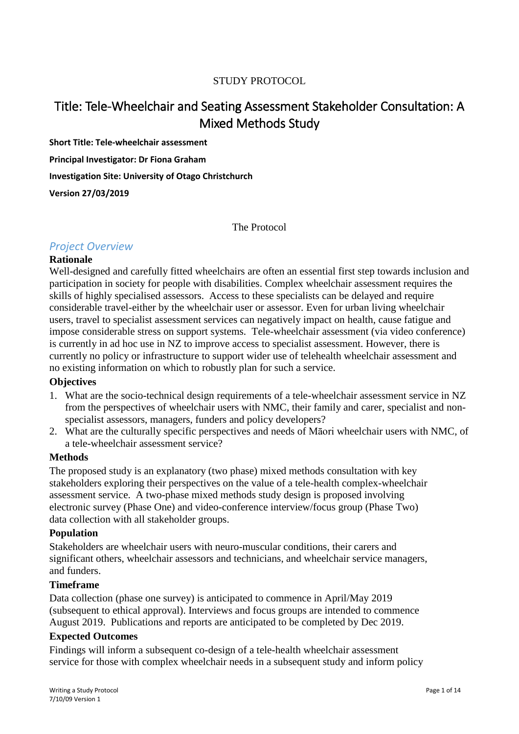### STUDY PROTOCOL

# Title: Tele-Wheelchair and Seating Assessment Stakeholder Consultation: A Mixed Methods Study

**Short Title: Tele-wheelchair assessment**

**Principal Investigator: Dr Fiona Graham**

**Investigation Site: University of Otago Christchurch**

**Version 27/03/2019**

The Protocol

### *Project Overview*

#### **Rationale**

Well-designed and carefully fitted wheelchairs are often an essential first step towards inclusion and participation in society for people with disabilities. Complex wheelchair assessment requires the skills of highly specialised assessors. Access to these specialists can be delayed and require considerable travel-either by the wheelchair user or assessor. Even for urban living wheelchair users, travel to specialist assessment services can negatively impact on health, cause fatigue and impose considerable stress on support systems. Tele-wheelchair assessment (via video conference) is currently in ad hoc use in NZ to improve access to specialist assessment. However, there is currently no policy or infrastructure to support wider use of telehealth wheelchair assessment and no existing information on which to robustly plan for such a service.

### **Objectives**

- 1. What are the socio-technical design requirements of a tele-wheelchair assessment service in NZ from the perspectives of wheelchair users with NMC, their family and carer, specialist and nonspecialist assessors, managers, funders and policy developers?
- 2. What are the culturally specific perspectives and needs of Māori wheelchair users with NMC, of a tele-wheelchair assessment service?

#### **Methods**

The proposed study is an explanatory (two phase) mixed methods consultation with key stakeholders exploring their perspectives on the value of a tele-health complex-wheelchair assessment service. A two-phase mixed methods study design is proposed involving electronic survey (Phase One) and video-conference interview/focus group (Phase Two) data collection with all stakeholder groups.

#### **Population**

Stakeholders are wheelchair users with neuro-muscular conditions, their carers and significant others, wheelchair assessors and technicians, and wheelchair service managers, and funders.

#### **Timeframe**

Data collection (phase one survey) is anticipated to commence in April/May 2019 (subsequent to ethical approval). Interviews and focus groups are intended to commence August 2019. Publications and reports are anticipated to be completed by Dec 2019.

### **Expected Outcomes**

Findings will inform a subsequent co-design of a tele-health wheelchair assessment service for those with complex wheelchair needs in a subsequent study and inform policy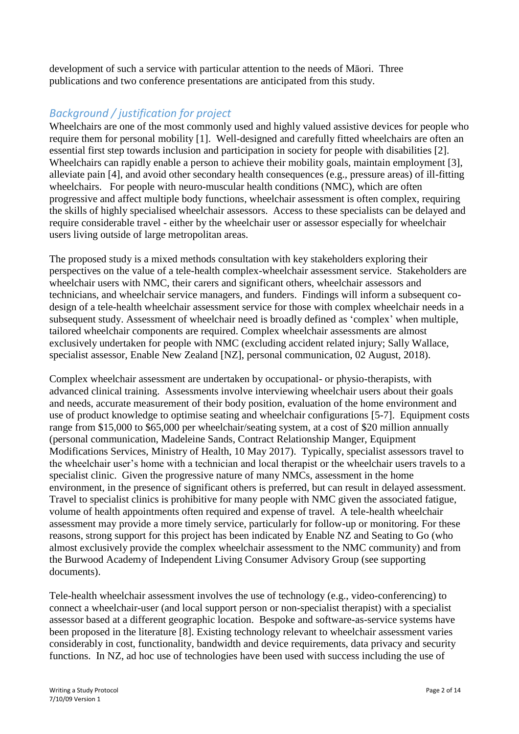development of such a service with particular attention to the needs of Māori. Three publications and two conference presentations are anticipated from this study.

## *Background / justification for project*

Wheelchairs are one of the most commonly used and highly valued assistive devices for people who require them for personal mobility [1]. Well-designed and carefully fitted wheelchairs are often an essential first step towards inclusion and participation in society for people with disabilities [2]. Wheelchairs can rapidly enable a person to achieve their mobility goals, maintain employment [3], alleviate pain [4], and avoid other secondary health consequences (e.g., pressure areas) of ill-fitting wheelchairs. For people with neuro-muscular health conditions (NMC), which are often progressive and affect multiple body functions, wheelchair assessment is often complex, requiring the skills of highly specialised wheelchair assessors. Access to these specialists can be delayed and require considerable travel - either by the wheelchair user or assessor especially for wheelchair users living outside of large metropolitan areas.

The proposed study is a mixed methods consultation with key stakeholders exploring their perspectives on the value of a tele-health complex-wheelchair assessment service. Stakeholders are wheelchair users with NMC, their carers and significant others, wheelchair assessors and technicians, and wheelchair service managers, and funders. Findings will inform a subsequent codesign of a tele-health wheelchair assessment service for those with complex wheelchair needs in a subsequent study. Assessment of wheelchair need is broadly defined as 'complex' when multiple, tailored wheelchair components are required. Complex wheelchair assessments are almost exclusively undertaken for people with NMC (excluding accident related injury; Sally Wallace, specialist assessor, Enable New Zealand [NZ], personal communication, 02 August, 2018).

Complex wheelchair assessment are undertaken by occupational- or physio-therapists, with advanced clinical training. Assessments involve interviewing wheelchair users about their goals and needs, accurate measurement of their body position, evaluation of the home environment and use of product knowledge to optimise seating and wheelchair configurations [5-7]. Equipment costs range from \$15,000 to \$65,000 per wheelchair/seating system, at a cost of \$20 million annually (personal communication, Madeleine Sands, Contract Relationship Manger, Equipment Modifications Services, Ministry of Health, 10 May 2017). Typically, specialist assessors travel to the wheelchair user's home with a technician and local therapist or the wheelchair users travels to a specialist clinic. Given the progressive nature of many NMCs, assessment in the home environment, in the presence of significant others is preferred, but can result in delayed assessment. Travel to specialist clinics is prohibitive for many people with NMC given the associated fatigue, volume of health appointments often required and expense of travel. A tele-health wheelchair assessment may provide a more timely service, particularly for follow-up or monitoring. For these reasons, strong support for this project has been indicated by Enable NZ and Seating to Go (who almost exclusively provide the complex wheelchair assessment to the NMC community) and from the Burwood Academy of Independent Living Consumer Advisory Group (see supporting documents).

Tele-health wheelchair assessment involves the use of technology (e.g., video-conferencing) to connect a wheelchair-user (and local support person or non-specialist therapist) with a specialist assessor based at a different geographic location. Bespoke and software-as-service systems have been proposed in the literature [8]. Existing technology relevant to wheelchair assessment varies considerably in cost, functionality, bandwidth and device requirements, data privacy and security functions. In NZ, ad hoc use of technologies have been used with success including the use of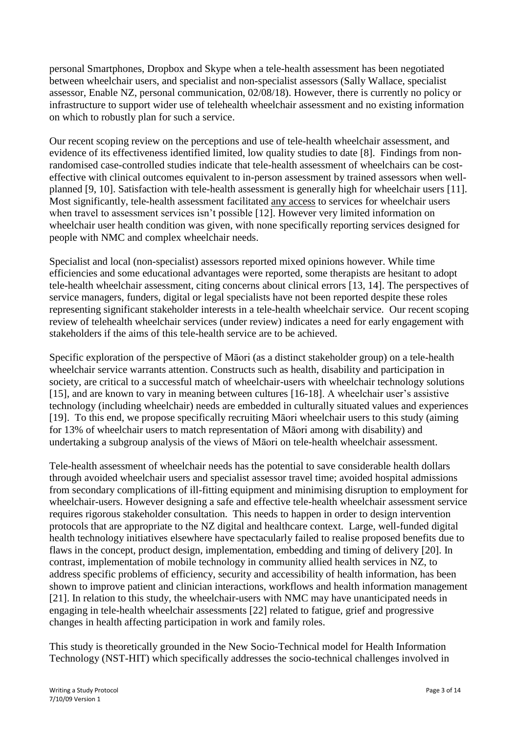personal Smartphones, Dropbox and Skype when a tele-health assessment has been negotiated between wheelchair users, and specialist and non-specialist assessors (Sally Wallace, specialist assessor, Enable NZ, personal communication, 02/08/18). However, there is currently no policy or infrastructure to support wider use of telehealth wheelchair assessment and no existing information on which to robustly plan for such a service.

Our recent scoping review on the perceptions and use of tele-health wheelchair assessment, and evidence of its effectiveness identified limited, low quality studies to date [8]. Findings from nonrandomised case-controlled studies indicate that tele-health assessment of wheelchairs can be costeffective with clinical outcomes equivalent to in-person assessment by trained assessors when wellplanned [9, 10]. Satisfaction with tele-health assessment is generally high for wheelchair users [11]. Most significantly, tele-health assessment facilitated any access to services for wheelchair users when travel to assessment services isn't possible [12]. However very limited information on wheelchair user health condition was given, with none specifically reporting services designed for people with NMC and complex wheelchair needs.

Specialist and local (non-specialist) assessors reported mixed opinions however. While time efficiencies and some educational advantages were reported, some therapists are hesitant to adopt tele-health wheelchair assessment, citing concerns about clinical errors [13, 14]. The perspectives of service managers, funders, digital or legal specialists have not been reported despite these roles representing significant stakeholder interests in a tele-health wheelchair service. Our recent scoping review of telehealth wheelchair services (under review) indicates a need for early engagement with stakeholders if the aims of this tele-health service are to be achieved.

Specific exploration of the perspective of Māori (as a distinct stakeholder group) on a tele-health wheelchair service warrants attention. Constructs such as health, disability and participation in society, are critical to a successful match of wheelchair-users with wheelchair technology solutions [15], and are known to vary in meaning between cultures [16-18]. A wheelchair user's assistive technology (including wheelchair) needs are embedded in culturally situated values and experiences [19]. To this end, we propose specifically recruiting Māori wheelchair users to this study (aiming for 13% of wheelchair users to match representation of Māori among with disability) and undertaking a subgroup analysis of the views of Māori on tele-health wheelchair assessment.

Tele-health assessment of wheelchair needs has the potential to save considerable health dollars through avoided wheelchair users and specialist assessor travel time; avoided hospital admissions from secondary complications of ill-fitting equipment and minimising disruption to employment for wheelchair-users. However designing a safe and effective tele-health wheelchair assessment service requires rigorous stakeholder consultation. This needs to happen in order to design intervention protocols that are appropriate to the NZ digital and healthcare context. Large, well-funded digital health technology initiatives elsewhere have spectacularly failed to realise proposed benefits due to flaws in the concept, product design, implementation, embedding and timing of delivery [20]. In contrast, implementation of mobile technology in community allied health services in NZ, to address specific problems of efficiency, security and accessibility of health information, has been shown to improve patient and clinician interactions, workflows and health information management [21]. In relation to this study, the wheelchair-users with NMC may have unanticipated needs in engaging in tele-health wheelchair assessments [22] related to fatigue, grief and progressive changes in health affecting participation in work and family roles.

This study is theoretically grounded in the New Socio-Technical model for Health Information Technology (NST-HIT) which specifically addresses the socio-technical challenges involved in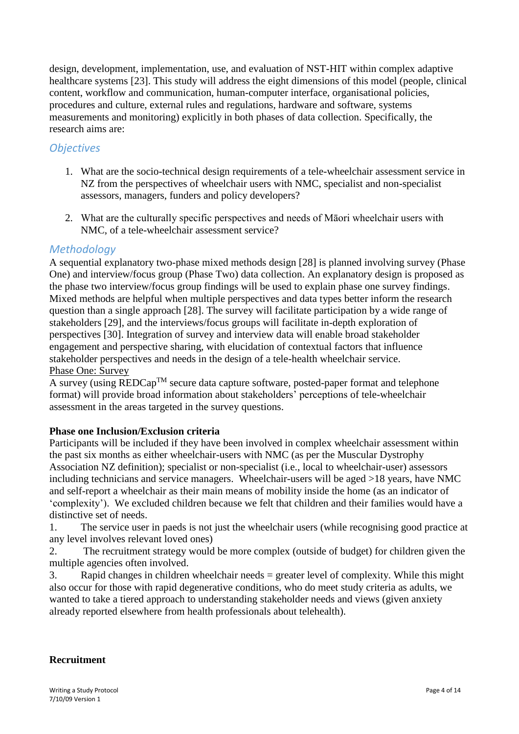design, development, implementation, use, and evaluation of NST-HIT within complex adaptive healthcare systems [23]. This study will address the eight dimensions of this model (people, clinical content, workflow and communication, human-computer interface, organisational policies, procedures and culture, external rules and regulations, hardware and software, systems measurements and monitoring) explicitly in both phases of data collection. Specifically, the research aims are:

## *Objectives*

- 1. What are the socio-technical design requirements of a tele-wheelchair assessment service in NZ from the perspectives of wheelchair users with NMC, specialist and non-specialist assessors, managers, funders and policy developers?
- 2. What are the culturally specific perspectives and needs of Māori wheelchair users with NMC, of a tele-wheelchair assessment service?

### *Methodology*

A sequential explanatory two-phase mixed methods design [28] is planned involving survey (Phase One) and interview/focus group (Phase Two) data collection. An explanatory design is proposed as the phase two interview/focus group findings will be used to explain phase one survey findings. Mixed methods are helpful when multiple perspectives and data types better inform the research question than a single approach [28]. The survey will facilitate participation by a wide range of stakeholders [29], and the interviews/focus groups will facilitate in-depth exploration of perspectives [30]. Integration of survey and interview data will enable broad stakeholder engagement and perspective sharing, with elucidation of contextual factors that influence stakeholder perspectives and needs in the design of a tele-health wheelchair service. Phase One: Survey

A survey (using  $REDCap^{TM}$  secure data capture software, posted-paper format and telephone format) will provide broad information about stakeholders' perceptions of tele-wheelchair assessment in the areas targeted in the survey questions.

### **Phase one Inclusion/Exclusion criteria**

Participants will be included if they have been involved in complex wheelchair assessment within the past six months as either wheelchair-users with NMC (as per the Muscular Dystrophy Association NZ definition); specialist or non-specialist (i.e., local to wheelchair-user) assessors including technicians and service managers. Wheelchair-users will be aged >18 years, have NMC and self-report a wheelchair as their main means of mobility inside the home (as an indicator of 'complexity'). We excluded children because we felt that children and their families would have a distinctive set of needs.

1. The service user in paeds is not just the wheelchair users (while recognising good practice at any level involves relevant loved ones)

2. The recruitment strategy would be more complex (outside of budget) for children given the multiple agencies often involved.

3. Rapid changes in children wheelchair needs = greater level of complexity. While this might also occur for those with rapid degenerative conditions, who do meet study criteria as adults, we wanted to take a tiered approach to understanding stakeholder needs and views (given anxiety already reported elsewhere from health professionals about telehealth).

### **Recruitment**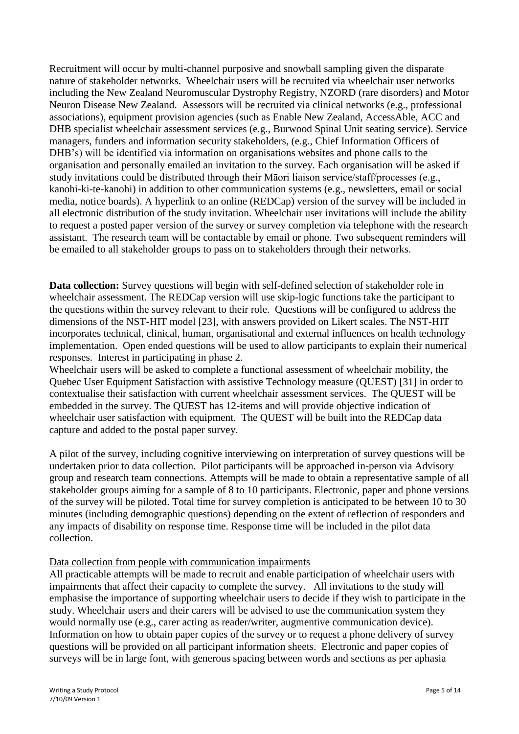Recruitment will occur by multi-channel purposive and snowball sampling given the disparate nature of stakeholder networks. Wheelchair users will be recruited via wheelchair user networks including the New Zealand Neuromuscular Dystrophy Registry, NZORD (rare disorders) and Motor Neuron Disease New Zealand. Assessors will be recruited via clinical networks (e.g., professional associations), equipment provision agencies (such as Enable New Zealand, AccessAble, ACC and DHB specialist wheelchair assessment services (e.g., Burwood Spinal Unit seating service). Service managers, funders and information security stakeholders, (e.g., Chief Information Officers of DHB's) will be identified via information on organisations websites and phone calls to the organisation and personally emailed an invitation to the survey. Each organisation will be asked if study invitations could be distributed through their Māori liaison service/staff/processes (e.g., kanohi-ki-te-kanohi) in addition to other communication systems (e.g., newsletters, email or social media, notice boards). A hyperlink to an online (REDCap) version of the survey will be included in all electronic distribution of the study invitation. Wheelchair user invitations will include the ability to request a posted paper version of the survey or survey completion via telephone with the research assistant. The research team will be contactable by email or phone. Two subsequent reminders will be emailed to all stakeholder groups to pass on to stakeholders through their networks.

**Data collection:** Survey questions will begin with self-defined selection of stakeholder role in wheelchair assessment. The REDCap version will use skip-logic functions take the participant to the questions within the survey relevant to their role. Questions will be configured to address the dimensions of the NST-HIT model [23], with answers provided on Likert scales. The NST-HIT incorporates technical, clinical, human, organisational and external influences on health technology implementation. Open ended questions will be used to allow participants to explain their numerical responses. Interest in participating in phase 2.

Wheelchair users will be asked to complete a functional assessment of wheelchair mobility, the Quebec User Equipment Satisfaction with assistive Technology measure (QUEST) [31] in order to contextualise their satisfaction with current wheelchair assessment services. The QUEST will be embedded in the survey. The QUEST has 12-items and will provide objective indication of wheelchair user satisfaction with equipment. The QUEST will be built into the REDCap data capture and added to the postal paper survey.

A pilot of the survey, including cognitive interviewing on interpretation of survey questions will be undertaken prior to data collection. Pilot participants will be approached in-person via Advisory group and research team connections. Attempts will be made to obtain a representative sample of all stakeholder groups aiming for a sample of 8 to 10 participants. Electronic, paper and phone versions of the survey will be piloted. Total time for survey completion is anticipated to be between 10 to 30 minutes (including demographic questions) depending on the extent of reflection of responders and any impacts of disability on response time. Response time will be included in the pilot data collection.

### Data collection from people with communication impairments

All practicable attempts will be made to recruit and enable participation of wheelchair users with impairments that affect their capacity to complete the survey. All invitations to the study will emphasise the importance of supporting wheelchair users to decide if they wish to participate in the study. Wheelchair users and their carers will be advised to use the communication system they would normally use (e.g., carer acting as reader/writer, augmentive communication device). Information on how to obtain paper copies of the survey or to request a phone delivery of survey questions will be provided on all participant information sheets. Electronic and paper copies of surveys will be in large font, with generous spacing between words and sections as per aphasia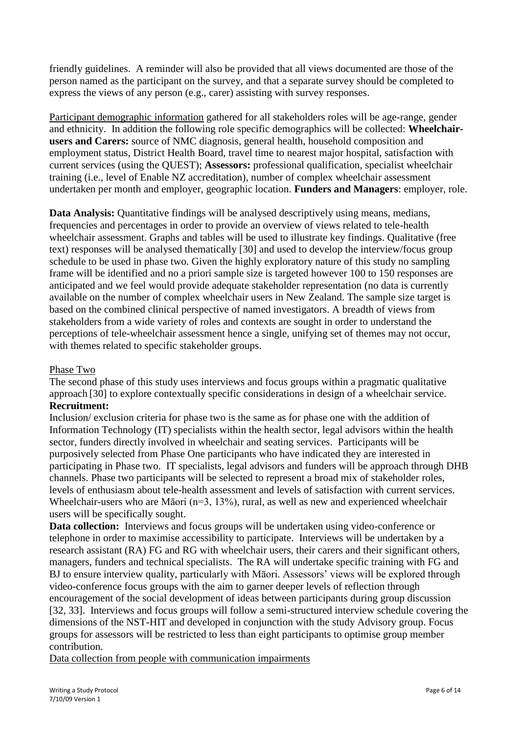friendly guidelines. A reminder will also be provided that all views documented are those of the person named as the participant on the survey, and that a separate survey should be completed to express the views of any person (e.g., carer) assisting with survey responses.

Participant demographic information gathered for all stakeholders roles will be age-range, gender and ethnicity. In addition the following role specific demographics will be collected: **Wheelchairusers and Carers:** source of NMC diagnosis, general health, household composition and employment status, District Health Board, travel time to nearest major hospital, satisfaction with current services (using the QUEST); **Assessors:** professional qualification, specialist wheelchair training (i.e., level of Enable NZ accreditation), number of complex wheelchair assessment undertaken per month and employer, geographic location. **Funders and Managers**: employer, role.

**Data Analysis:** Quantitative findings will be analysed descriptively using means, medians, frequencies and percentages in order to provide an overview of views related to tele-health wheelchair assessment. Graphs and tables will be used to illustrate key findings. Qualitative (free text) responses will be analysed thematically [30] and used to develop the interview/focus group schedule to be used in phase two. Given the highly exploratory nature of this study no sampling frame will be identified and no a priori sample size is targeted however 100 to 150 responses are anticipated and we feel would provide adequate stakeholder representation (no data is currently available on the number of complex wheelchair users in New Zealand. The sample size target is based on the combined clinical perspective of named investigators. A breadth of views from stakeholders from a wide variety of roles and contexts are sought in order to understand the perceptions of tele-wheelchair assessment hence a single, unifying set of themes may not occur, with themes related to specific stakeholder groups.

### Phase Two

The second phase of this study uses interviews and focus groups within a pragmatic qualitative approach [30] to explore contextually specific considerations in design of a wheelchair service. **Recruitment:**

Inclusion/ exclusion criteria for phase two is the same as for phase one with the addition of Information Technology (IT) specialists within the health sector, legal advisors within the health sector, funders directly involved in wheelchair and seating services. Participants will be purposively selected from Phase One participants who have indicated they are interested in participating in Phase two. IT specialists, legal advisors and funders will be approach through DHB channels. Phase two participants will be selected to represent a broad mix of stakeholder roles, levels of enthusiasm about tele-health assessment and levels of satisfaction with current services. Wheelchair-users who are Māori ( $n=3$ , 13%), rural, as well as new and experienced wheelchair users will be specifically sought.

**Data collection:** Interviews and focus groups will be undertaken using video-conference or telephone in order to maximise accessibility to participate. Interviews will be undertaken by a research assistant (RA) FG and RG with wheelchair users, their carers and their significant others, managers, funders and technical specialists. The RA will undertake specific training with FG and BJ to ensure interview quality, particularly with Māori. Assessors' views will be explored through video-conference focus groups with the aim to garner deeper levels of reflection through encouragement of the social development of ideas between participants during group discussion [32, 33]. Interviews and focus groups will follow a semi-structured interview schedule covering the dimensions of the NST-HIT and developed in conjunction with the study Advisory group. Focus groups for assessors will be restricted to less than eight participants to optimise group member contribution.

Data collection from people with communication impairments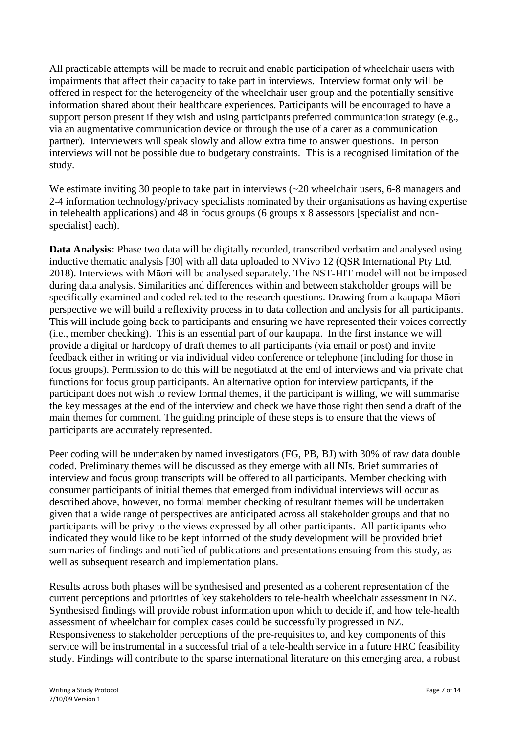All practicable attempts will be made to recruit and enable participation of wheelchair users with impairments that affect their capacity to take part in interviews. Interview format only will be offered in respect for the heterogeneity of the wheelchair user group and the potentially sensitive information shared about their healthcare experiences. Participants will be encouraged to have a support person present if they wish and using participants preferred communication strategy (e.g., via an augmentative communication device or through the use of a carer as a communication partner). Interviewers will speak slowly and allow extra time to answer questions. In person interviews will not be possible due to budgetary constraints. This is a recognised limitation of the study.

We estimate inviting 30 people to take part in interviews ( $\sim$ 20 wheelchair users, 6-8 managers and 2-4 information technology/privacy specialists nominated by their organisations as having expertise in telehealth applications) and 48 in focus groups (6 groups x 8 assessors [specialist and nonspecialist] each).

**Data Analysis:** Phase two data will be digitally recorded, transcribed verbatim and analysed using inductive thematic analysis [30] with all data uploaded to NVivo 12 (QSR International Pty Ltd, 2018). Interviews with Māori will be analysed separately. The NST-HIT model will not be imposed during data analysis. Similarities and differences within and between stakeholder groups will be specifically examined and coded related to the research questions. Drawing from a kaupapa Māori perspective we will build a reflexivity process in to data collection and analysis for all participants. This will include going back to participants and ensuring we have represented their voices correctly (i.e., member checking). This is an essential part of our kaupapa. In the first instance we will provide a digital or hardcopy of draft themes to all participants (via email or post) and invite feedback either in writing or via individual video conference or telephone (including for those in focus groups). Permission to do this will be negotiated at the end of interviews and via private chat functions for focus group participants. An alternative option for interview particpants, if the participant does not wish to review formal themes, if the participant is willing, we will summarise the key messages at the end of the interview and check we have those right then send a draft of the main themes for comment. The guiding principle of these steps is to ensure that the views of participants are accurately represented.

Peer coding will be undertaken by named investigators (FG, PB, BJ) with 30% of raw data double coded. Preliminary themes will be discussed as they emerge with all NIs. Brief summaries of interview and focus group transcripts will be offered to all participants. Member checking with consumer participants of initial themes that emerged from individual interviews will occur as described above, however, no formal member checking of resultant themes will be undertaken given that a wide range of perspectives are anticipated across all stakeholder groups and that no participants will be privy to the views expressed by all other participants. All participants who indicated they would like to be kept informed of the study development will be provided brief summaries of findings and notified of publications and presentations ensuing from this study, as well as subsequent research and implementation plans.

Results across both phases will be synthesised and presented as a coherent representation of the current perceptions and priorities of key stakeholders to tele-health wheelchair assessment in NZ. Synthesised findings will provide robust information upon which to decide if, and how tele-health assessment of wheelchair for complex cases could be successfully progressed in NZ. Responsiveness to stakeholder perceptions of the pre-requisites to, and key components of this service will be instrumental in a successful trial of a tele-health service in a future HRC feasibility study. Findings will contribute to the sparse international literature on this emerging area, a robust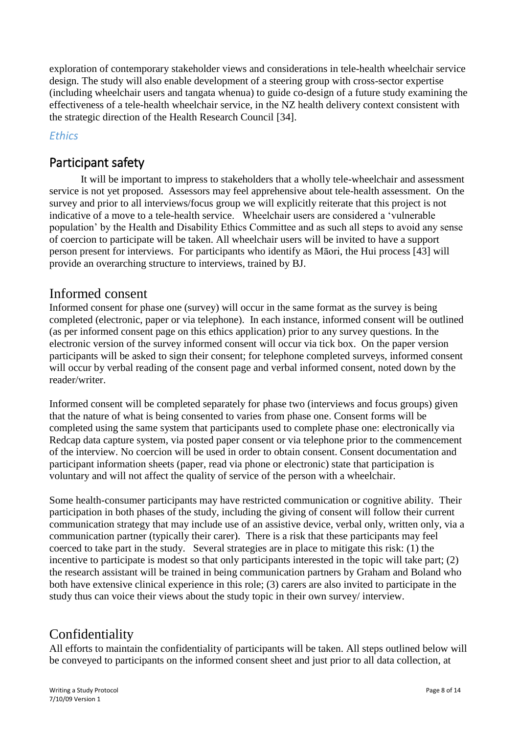exploration of contemporary stakeholder views and considerations in tele-health wheelchair service design. The study will also enable development of a steering group with cross-sector expertise (including wheelchair users and tangata whenua) to guide co-design of a future study examining the effectiveness of a tele-health wheelchair service, in the NZ health delivery context consistent with the strategic direction of the Health Research Council [34].

## *Ethics*

# Participant safety

It will be important to impress to stakeholders that a wholly tele-wheelchair and assessment service is not yet proposed. Assessors may feel apprehensive about tele-health assessment. On the survey and prior to all interviews/focus group we will explicitly reiterate that this project is not indicative of a move to a tele-health service. Wheelchair users are considered a 'vulnerable population' by the Health and Disability Ethics Committee and as such all steps to avoid any sense of coercion to participate will be taken. All wheelchair users will be invited to have a support person present for interviews. For participants who identify as Māori, the Hui process [43] will provide an overarching structure to interviews, trained by BJ.

## Informed consent

Informed consent for phase one (survey) will occur in the same format as the survey is being completed (electronic, paper or via telephone). In each instance, informed consent will be outlined (as per informed consent page on this ethics application) prior to any survey questions. In the electronic version of the survey informed consent will occur via tick box. On the paper version participants will be asked to sign their consent; for telephone completed surveys, informed consent will occur by verbal reading of the consent page and verbal informed consent, noted down by the reader/writer.

Informed consent will be completed separately for phase two (interviews and focus groups) given that the nature of what is being consented to varies from phase one. Consent forms will be completed using the same system that participants used to complete phase one: electronically via Redcap data capture system, via posted paper consent or via telephone prior to the commencement of the interview. No coercion will be used in order to obtain consent. Consent documentation and participant information sheets (paper, read via phone or electronic) state that participation is voluntary and will not affect the quality of service of the person with a wheelchair.

Some health-consumer participants may have restricted communication or cognitive ability. Their participation in both phases of the study, including the giving of consent will follow their current communication strategy that may include use of an assistive device, verbal only, written only, via a communication partner (typically their carer). There is a risk that these participants may feel coerced to take part in the study. Several strategies are in place to mitigate this risk: (1) the incentive to participate is modest so that only participants interested in the topic will take part; (2) the research assistant will be trained in being communication partners by Graham and Boland who both have extensive clinical experience in this role; (3) carers are also invited to participate in the study thus can voice their views about the study topic in their own survey/ interview.

# Confidentiality

All efforts to maintain the confidentiality of participants will be taken. All steps outlined below will be conveyed to participants on the informed consent sheet and just prior to all data collection, at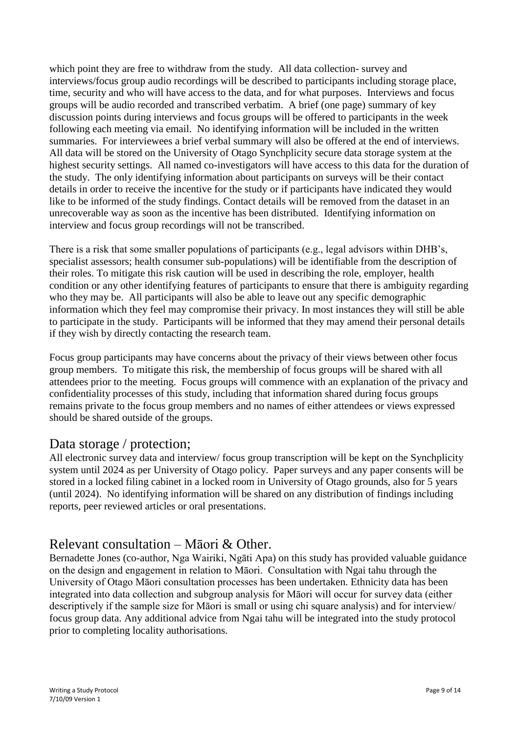which point they are free to withdraw from the study. All data collection- survey and interviews/focus group audio recordings will be described to participants including storage place, time, security and who will have access to the data, and for what purposes. Interviews and focus groups will be audio recorded and transcribed verbatim. A brief (one page) summary of key discussion points during interviews and focus groups will be offered to participants in the week following each meeting via email. No identifying information will be included in the written summaries. For interviewees a brief verbal summary will also be offered at the end of interviews. All data will be stored on the University of Otago Synchplicity secure data storage system at the highest security settings. All named co-investigators will have access to this data for the duration of the study. The only identifying information about participants on surveys will be their contact details in order to receive the incentive for the study or if participants have indicated they would like to be informed of the study findings. Contact details will be removed from the dataset in an unrecoverable way as soon as the incentive has been distributed. Identifying information on interview and focus group recordings will not be transcribed.

There is a risk that some smaller populations of participants (e.g., legal advisors within DHB's, specialist assessors; health consumer sub-populations) will be identifiable from the description of their roles. To mitigate this risk caution will be used in describing the role, employer, health condition or any other identifying features of participants to ensure that there is ambiguity regarding who they may be. All participants will also be able to leave out any specific demographic information which they feel may compromise their privacy. In most instances they will still be able to participate in the study. Participants will be informed that they may amend their personal details if they wish by directly contacting the research team.

Focus group participants may have concerns about the privacy of their views between other focus group members. To mitigate this risk, the membership of focus groups will be shared with all attendees prior to the meeting. Focus groups will commence with an explanation of the privacy and confidentiality processes of this study, including that information shared during focus groups remains private to the focus group members and no names of either attendees or views expressed should be shared outside of the groups.

## Data storage / protection;

All electronic survey data and interview/ focus group transcription will be kept on the Synchplicity system until 2024 as per University of Otago policy. Paper surveys and any paper consents will be stored in a locked filing cabinet in a locked room in University of Otago grounds, also for 5 years (until 2024). No identifying information will be shared on any distribution of findings including reports, peer reviewed articles or oral presentations.

# Relevant consultation – Māori & Other.

Bernadette Jones (co-author, Nga Wairiki, Ngāti Apa) on this study has provided valuable guidance on the design and engagement in relation to Māori. Consultation with Ngai tahu through the University of Otago Māori consultation processes has been undertaken. Ethnicity data has been integrated into data collection and subgroup analysis for Māori will occur for survey data (either descriptively if the sample size for Māori is small or using chi square analysis) and for interview/ focus group data. Any additional advice from Ngai tahu will be integrated into the study protocol prior to completing locality authorisations.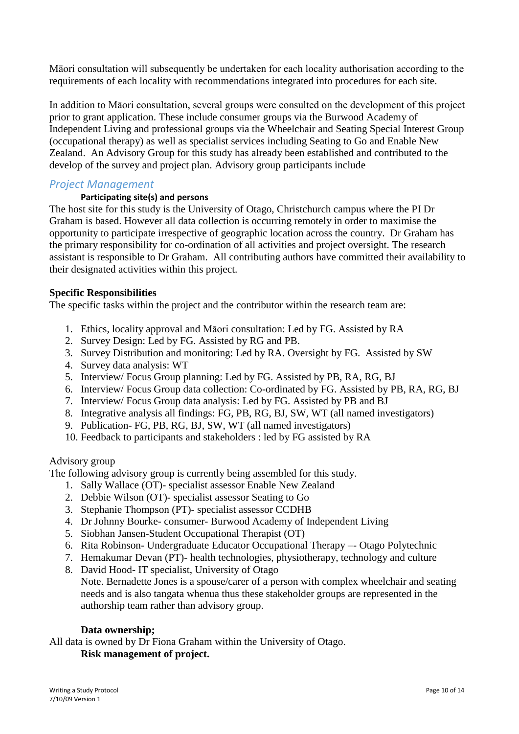Māori consultation will subsequently be undertaken for each locality authorisation according to the requirements of each locality with recommendations integrated into procedures for each site.

In addition to Māori consultation, several groups were consulted on the development of this project prior to grant application. These include consumer groups via the Burwood Academy of Independent Living and professional groups via the Wheelchair and Seating Special Interest Group (occupational therapy) as well as specialist services including Seating to Go and Enable New Zealand. An Advisory Group for this study has already been established and contributed to the develop of the survey and project plan. Advisory group participants include

### *Project Management*

### **Participating site(s) and persons**

The host site for this study is the University of Otago, Christchurch campus where the PI Dr Graham is based. However all data collection is occurring remotely in order to maximise the opportunity to participate irrespective of geographic location across the country. Dr Graham has the primary responsibility for co-ordination of all activities and project oversight. The research assistant is responsible to Dr Graham. All contributing authors have committed their availability to their designated activities within this project.

### **Specific Responsibilities**

The specific tasks within the project and the contributor within the research team are:

- 1. Ethics, locality approval and Māori consultation: Led by FG. Assisted by RA
- 2. Survey Design: Led by FG. Assisted by RG and PB.
- 3. Survey Distribution and monitoring: Led by RA. Oversight by FG. Assisted by SW
- 4. Survey data analysis: WT
- 5. Interview/ Focus Group planning: Led by FG. Assisted by PB, RA, RG, BJ
- 6. Interview/ Focus Group data collection: Co-ordinated by FG. Assisted by PB, RA, RG, BJ
- 7. Interview/ Focus Group data analysis: Led by FG. Assisted by PB and BJ
- 8. Integrative analysis all findings: FG, PB, RG, BJ, SW, WT (all named investigators)
- 9. Publication- FG, PB, RG, BJ, SW, WT (all named investigators)
- 10. Feedback to participants and stakeholders : led by FG assisted by RA

### Advisory group

The following advisory group is currently being assembled for this study.

- 1. Sally Wallace (OT)- specialist assessor Enable New Zealand
- 2. Debbie Wilson (OT)- specialist assessor Seating to Go
- 3. Stephanie Thompson (PT)- specialist assessor CCDHB
- 4. Dr Johnny Bourke- consumer- Burwood Academy of Independent Living
- 5. Siobhan Jansen-Student Occupational Therapist (OT)
- 6. Rita Robinson- Undergraduate Educator Occupational Therapy –- Otago Polytechnic
- 7. Hemakumar Devan (PT)- health technologies, physiotherapy, technology and culture
- 8. David Hood- IT specialist, University of Otago Note. Bernadette Jones is a spouse/carer of a person with complex wheelchair and seating

needs and is also tangata whenua thus these stakeholder groups are represented in the authorship team rather than advisory group.

### **Data ownership;**

All data is owned by Dr Fiona Graham within the University of Otago.

### **Risk management of project.**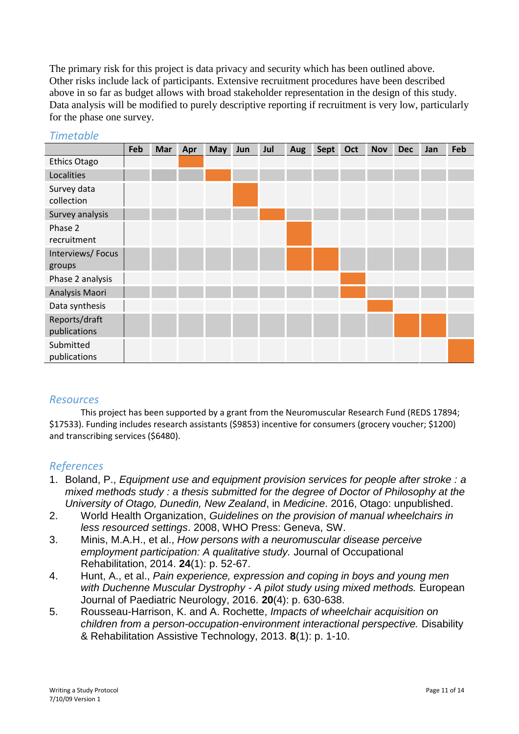The primary risk for this project is data privacy and security which has been outlined above. Other risks include lack of participants. Extensive recruitment procedures have been described above in so far as budget allows with broad stakeholder representation in the design of this study. Data analysis will be modified to purely descriptive reporting if recruitment is very low, particularly for the phase one survey.

|                               | Feb | Mar | Apr | <b>May</b> | Jun | Jul | Aug | <b>Sept</b> | Oct | <b>Nov</b> | <b>Dec</b> | Jan | Feb |
|-------------------------------|-----|-----|-----|------------|-----|-----|-----|-------------|-----|------------|------------|-----|-----|
| <b>Ethics Otago</b>           |     |     |     |            |     |     |     |             |     |            |            |     |     |
| Localities                    |     |     |     |            |     |     |     |             |     |            |            |     |     |
| Survey data<br>collection     |     |     |     |            |     |     |     |             |     |            |            |     |     |
| Survey analysis               |     |     |     |            |     |     |     |             |     |            |            |     |     |
| Phase 2<br>recruitment        |     |     |     |            |     |     |     |             |     |            |            |     |     |
| Interviews/Focus              |     |     |     |            |     |     |     |             |     |            |            |     |     |
| groups                        |     |     |     |            |     |     |     |             |     |            |            |     |     |
| Phase 2 analysis              |     |     |     |            |     |     |     |             |     |            |            |     |     |
| Analysis Maori                |     |     |     |            |     |     |     |             |     |            |            |     |     |
| Data synthesis                |     |     |     |            |     |     |     |             |     |            |            |     |     |
| Reports/draft<br>publications |     |     |     |            |     |     |     |             |     |            |            |     |     |
| Submitted<br>publications     |     |     |     |            |     |     |     |             |     |            |            |     |     |

### *Timetable*

### *Resources*

This project has been supported by a grant from the Neuromuscular Research Fund (REDS 17894; \$17533). Funding includes research assistants (\$9853) incentive for consumers (grocery voucher; \$1200) and transcribing services (\$6480).

### *References*

- 1. Boland, P., *Equipment use and equipment provision services for people after stroke : a mixed methods study : a thesis submitted for the degree of Doctor of Philosophy at the University of Otago, Dunedin, New Zealand*, in *Medicine*. 2016, Otago: unpublished.
- 2. World Health Organization, *Guidelines on the provision of manual wheelchairs in less resourced settings*. 2008, WHO Press: Geneva, SW.
- 3. Minis, M.A.H., et al., *How persons with a neuromuscular disease perceive employment participation: A qualitative study.* Journal of Occupational Rehabilitation, 2014. **24**(1): p. 52-67.
- 4. Hunt, A., et al., *Pain experience, expression and coping in boys and young men with Duchenne Muscular Dystrophy - A pilot study using mixed methods.* European Journal of Paediatric Neurology, 2016. **20**(4): p. 630-638.
- 5. Rousseau-Harrison, K. and A. Rochette, *Impacts of wheelchair acquisition on children from a person-occupation-environment interactional perspective.* Disability & Rehabilitation Assistive Technology, 2013. **8**(1): p. 1-10.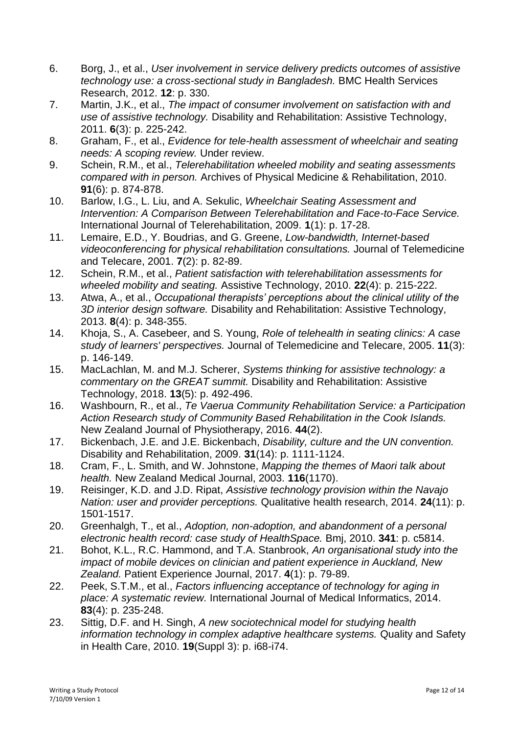- 6. Borg, J., et al., *User involvement in service delivery predicts outcomes of assistive technology use: a cross-sectional study in Bangladesh.* BMC Health Services Research, 2012. **12**: p. 330.
- 7. Martin, J.K., et al., *The impact of consumer involvement on satisfaction with and use of assistive technology.* Disability and Rehabilitation: Assistive Technology, 2011. **6**(3): p. 225-242.
- 8. Graham, F., et al., *Evidence for tele-health assessment of wheelchair and seating needs: A scoping review.* Under review.
- 9. Schein, R.M., et al., *Telerehabilitation wheeled mobility and seating assessments compared with in person.* Archives of Physical Medicine & Rehabilitation, 2010. **91**(6): p. 874-878.
- 10. Barlow, I.G., L. Liu, and A. Sekulic, *Wheelchair Seating Assessment and Intervention: A Comparison Between Telerehabilitation and Face-to-Face Service.* International Journal of Telerehabilitation, 2009. **1**(1): p. 17-28.
- 11. Lemaire, E.D., Y. Boudrias, and G. Greene, *Low-bandwidth, Internet-based videoconferencing for physical rehabilitation consultations.* Journal of Telemedicine and Telecare, 2001. **7**(2): p. 82-89.
- 12. Schein, R.M., et al., *Patient satisfaction with telerehabilitation assessments for wheeled mobility and seating.* Assistive Technology, 2010. **22**(4): p. 215-222.
- 13. Atwa, A., et al., *Occupational therapists' perceptions about the clinical utility of the 3D interior design software.* Disability and Rehabilitation: Assistive Technology, 2013. **8**(4): p. 348-355.
- 14. Khoja, S., A. Casebeer, and S. Young, *Role of telehealth in seating clinics: A case study of learners' perspectives.* Journal of Telemedicine and Telecare, 2005. **11**(3): p. 146-149.
- 15. MacLachlan, M. and M.J. Scherer, *Systems thinking for assistive technology: a commentary on the GREAT summit.* Disability and Rehabilitation: Assistive Technology, 2018. **13**(5): p. 492-496.
- 16. Washbourn, R., et al., *Te Vaerua Community Rehabilitation Service: a Participation Action Research study of Community Based Rehabilitation in the Cook Islands.* New Zealand Journal of Physiotherapy, 2016. **44**(2).
- 17. Bickenbach, J.E. and J.E. Bickenbach, *Disability, culture and the UN convention.* Disability and Rehabilitation, 2009. **31**(14): p. 1111-1124.
- 18. Cram, F., L. Smith, and W. Johnstone, *Mapping the themes of Maori talk about health.* New Zealand Medical Journal, 2003. **116**(1170).
- 19. Reisinger, K.D. and J.D. Ripat, *Assistive technology provision within the Navajo Nation: user and provider perceptions.* Qualitative health research, 2014. **24**(11): p. 1501-1517.
- 20. Greenhalgh, T., et al., *Adoption, non-adoption, and abandonment of a personal electronic health record: case study of HealthSpace.* Bmj, 2010. **341**: p. c5814.
- 21. Bohot, K.L., R.C. Hammond, and T.A. Stanbrook, *An organisational study into the impact of mobile devices on clinician and patient experience in Auckland, New Zealand.* Patient Experience Journal, 2017. **4**(1): p. 79-89.
- 22. Peek, S.T.M., et al., *Factors influencing acceptance of technology for aging in place: A systematic review.* International Journal of Medical Informatics, 2014. **83**(4): p. 235-248.
- 23. Sittig, D.F. and H. Singh, *A new sociotechnical model for studying health information technology in complex adaptive healthcare systems.* Quality and Safety in Health Care, 2010. **19**(Suppl 3): p. i68-i74.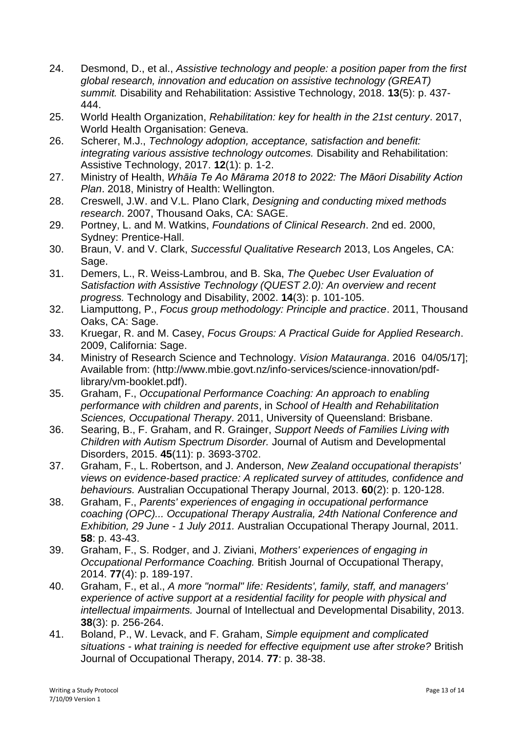- 24. Desmond, D., et al., *Assistive technology and people: a position paper from the first global research, innovation and education on assistive technology (GREAT) summit.* Disability and Rehabilitation: Assistive Technology, 2018. **13**(5): p. 437- 444.
- 25. World Health Organization, *Rehabilitation: key for health in the 21st century*. 2017, World Health Organisation: Geneva.
- 26. Scherer, M.J., *Technology adoption, acceptance, satisfaction and benefit: integrating various assistive technology outcomes.* Disability and Rehabilitation: Assistive Technology, 2017. **12**(1): p. 1-2.
- 27. Ministry of Health, *Whāia Te Ao Mārama 2018 to 2022: The Māori Disability Action Plan*. 2018, Ministry of Health: Wellington.
- 28. Creswell, J.W. and V.L. Plano Clark, *Designing and conducting mixed methods research*. 2007, Thousand Oaks, CA: SAGE.
- 29. Portney, L. and M. Watkins, *Foundations of Clinical Research*. 2nd ed. 2000, Sydney: Prentice-Hall.
- 30. Braun, V. and V. Clark, *Successful Qualitative Research* 2013, Los Angeles, CA: Sage.
- 31. Demers, L., R. Weiss-Lambrou, and B. Ska, *The Quebec User Evaluation of Satisfaction with Assistive Technology (QUEST 2.0): An overview and recent progress.* Technology and Disability, 2002. **14**(3): p. 101-105.
- 32. Liamputtong, P., *Focus group methodology: Principle and practice*. 2011, Thousand Oaks, CA: Sage.
- 33. Kruegar, R. and M. Casey, *Focus Groups: A Practical Guide for Applied Research*. 2009, California: Sage.
- 34. Ministry of Research Science and Technology. *Vision Matauranga*. 2016 04/05/17]; Available from: (http://www.mbie.govt.nz/info-services/science-innovation/pdflibrary/vm-booklet.pdf).
- 35. Graham, F., *Occupational Performance Coaching: An approach to enabling performance with children and parents*, in *School of Health and Rehabilitation Sciences, Occupational Therapy*. 2011, University of Queensland: Brisbane.
- 36. Searing, B., F. Graham, and R. Grainger, *Support Needs of Families Living with Children with Autism Spectrum Disorder.* Journal of Autism and Developmental Disorders, 2015. **45**(11): p. 3693-3702.
- 37. Graham, F., L. Robertson, and J. Anderson, *New Zealand occupational therapists' views on evidence-based practice: A replicated survey of attitudes, confidence and behaviours.* Australian Occupational Therapy Journal, 2013. **60**(2): p. 120-128.
- 38. Graham, F., *Parents' experiences of engaging in occupational performance coaching (OPC)... Occupational Therapy Australia, 24th National Conference and Exhibition, 29 June - 1 July 2011.* Australian Occupational Therapy Journal, 2011. **58**: p. 43-43.
- 39. Graham, F., S. Rodger, and J. Ziviani, *Mothers' experiences of engaging in Occupational Performance Coaching.* British Journal of Occupational Therapy, 2014. **77**(4): p. 189-197.
- 40. Graham, F., et al., *A more "normal" life: Residents', family, staff, and managers' experience of active support at a residential facility for people with physical and intellectual impairments.* Journal of Intellectual and Developmental Disability, 2013. **38**(3): p. 256-264.
- 41. Boland, P., W. Levack, and F. Graham, *Simple equipment and complicated situations - what training is needed for effective equipment use after stroke?* British Journal of Occupational Therapy, 2014. **77**: p. 38-38.